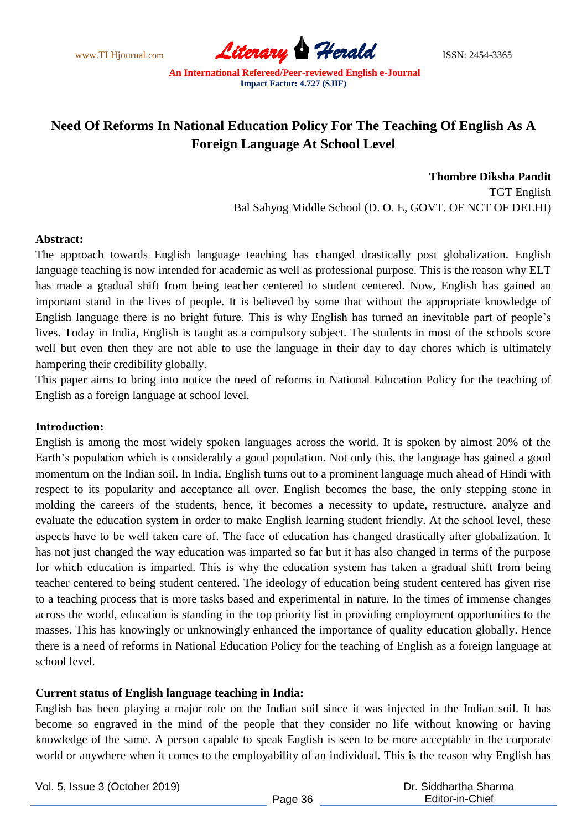www.TLHjournal.com **Literary Herald Herald** ISSN: 2454-3365

# **Need Of Reforms In National Education Policy For The Teaching Of English As A Foreign Language At School Level**

**Thombre Diksha Pandit** TGT English Bal Sahyog Middle School (D. O. E, GOVT. OF NCT OF DELHI)

## **Abstract:**

The approach towards English language teaching has changed drastically post globalization. English language teaching is now intended for academic as well as professional purpose. This is the reason why ELT has made a gradual shift from being teacher centered to student centered. Now, English has gained an important stand in the lives of people. It is believed by some that without the appropriate knowledge of English language there is no bright future. This is why English has turned an inevitable part of people's lives. Today in India, English is taught as a compulsory subject. The students in most of the schools score well but even then they are not able to use the language in their day to day chores which is ultimately hampering their credibility globally.

This paper aims to bring into notice the need of reforms in National Education Policy for the teaching of English as a foreign language at school level.

#### **Introduction:**

English is among the most widely spoken languages across the world. It is spoken by almost 20% of the Earth's population which is considerably a good population. Not only this, the language has gained a good momentum on the Indian soil. In India, English turns out to a prominent language much ahead of Hindi with respect to its popularity and acceptance all over. English becomes the base, the only stepping stone in molding the careers of the students, hence, it becomes a necessity to update, restructure, analyze and evaluate the education system in order to make English learning student friendly. At the school level, these aspects have to be well taken care of. The face of education has changed drastically after globalization. It has not just changed the way education was imparted so far but it has also changed in terms of the purpose for which education is imparted. This is why the education system has taken a gradual shift from being teacher centered to being student centered. The ideology of education being student centered has given rise to a teaching process that is more tasks based and experimental in nature. In the times of immense changes across the world, education is standing in the top priority list in providing employment opportunities to the masses. This has knowingly or unknowingly enhanced the importance of quality education globally. Hence there is a need of reforms in National Education Policy for the teaching of English as a foreign language at school level.

## **Current status of English language teaching in India:**

English has been playing a major role on the Indian soil since it was injected in the Indian soil. It has become so engraved in the mind of the people that they consider no life without knowing or having knowledge of the same. A person capable to speak English is seen to be more acceptable in the corporate world or anywhere when it comes to the employability of an individual. This is the reason why English has

Vol. 5, Issue 3 (October 2019)

 Dr. Siddhartha Sharma Editor-in-Chief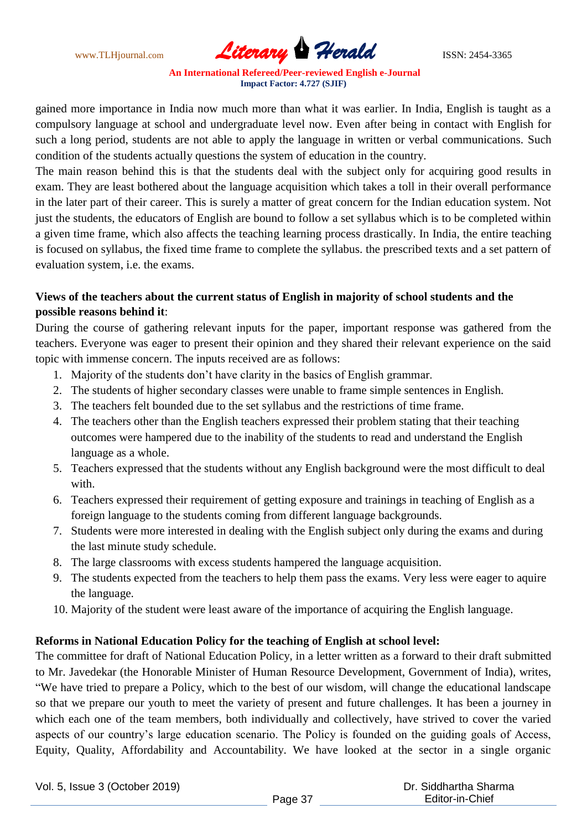www.TLHjournal.com **Literary Herald ISSN: 2454-3365** 

gained more importance in India now much more than what it was earlier. In India, English is taught as a compulsory language at school and undergraduate level now. Even after being in contact with English for such a long period, students are not able to apply the language in written or verbal communications. Such condition of the students actually questions the system of education in the country.

The main reason behind this is that the students deal with the subject only for acquiring good results in exam. They are least bothered about the language acquisition which takes a toll in their overall performance in the later part of their career. This is surely a matter of great concern for the Indian education system. Not just the students, the educators of English are bound to follow a set syllabus which is to be completed within a given time frame, which also affects the teaching learning process drastically. In India, the entire teaching is focused on syllabus, the fixed time frame to complete the syllabus. the prescribed texts and a set pattern of evaluation system, i.e. the exams.

# **Views of the teachers about the current status of English in majority of school students and the possible reasons behind it**:

During the course of gathering relevant inputs for the paper, important response was gathered from the teachers. Everyone was eager to present their opinion and they shared their relevant experience on the said topic with immense concern. The inputs received are as follows:

- 1. Majority of the students don't have clarity in the basics of English grammar.
- 2. The students of higher secondary classes were unable to frame simple sentences in English.
- 3. The teachers felt bounded due to the set syllabus and the restrictions of time frame.
- 4. The teachers other than the English teachers expressed their problem stating that their teaching outcomes were hampered due to the inability of the students to read and understand the English language as a whole.
- 5. Teachers expressed that the students without any English background were the most difficult to deal with.
- 6. Teachers expressed their requirement of getting exposure and trainings in teaching of English as a foreign language to the students coming from different language backgrounds.
- 7. Students were more interested in dealing with the English subject only during the exams and during the last minute study schedule.
- 8. The large classrooms with excess students hampered the language acquisition.
- 9. The students expected from the teachers to help them pass the exams. Very less were eager to aquire the language.
- 10. Majority of the student were least aware of the importance of acquiring the English language.

# **Reforms in National Education Policy for the teaching of English at school level:**

The committee for draft of National Education Policy, in a letter written as a forward to their draft submitted to Mr. Javedekar (the Honorable Minister of Human Resource Development, Government of India), writes, "We have tried to prepare a Policy, which to the best of our wisdom, will change the educational landscape so that we prepare our youth to meet the variety of present and future challenges. It has been a journey in which each one of the team members, both individually and collectively, have strived to cover the varied aspects of our country's large education scenario. The Policy is founded on the guiding goals of Access, Equity, Quality, Affordability and Accountability. We have looked at the sector in a single organic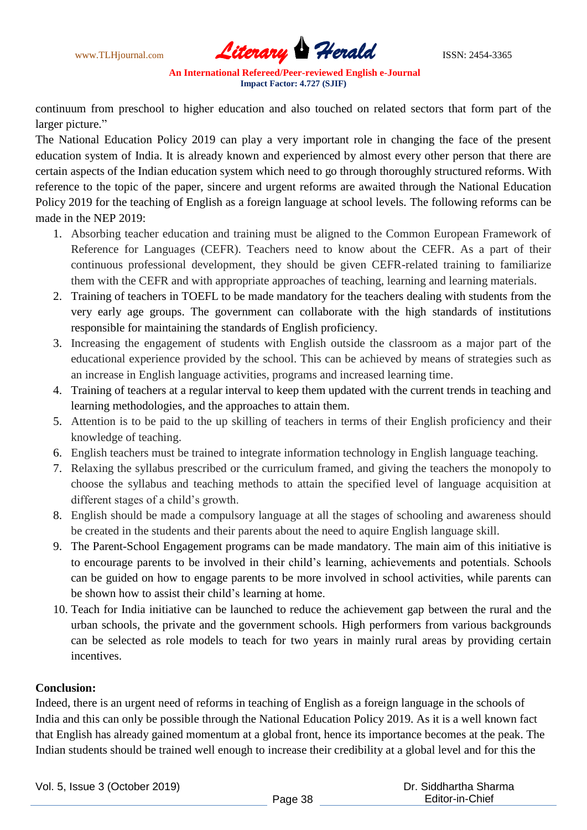www.TLHjournal.com **Literary Herald Herald** ISSN: 2454-3365

continuum from preschool to higher education and also touched on related sectors that form part of the larger picture."

The National Education Policy 2019 can play a very important role in changing the face of the present education system of India. It is already known and experienced by almost every other person that there are certain aspects of the Indian education system which need to go through thoroughly structured reforms. With reference to the topic of the paper, sincere and urgent reforms are awaited through the National Education Policy 2019 for the teaching of English as a foreign language at school levels. The following reforms can be made in the NEP 2019:

- 1. Absorbing teacher education and training must be aligned to the Common European Framework of Reference for Languages (CEFR). Teachers need to know about the CEFR. As a part of their continuous professional development, they should be given CEFR-related training to familiarize them with the CEFR and with appropriate approaches of teaching, learning and learning materials.
- 2. Training of teachers in TOEFL to be made mandatory for the teachers dealing with students from the very early age groups. The government can collaborate with the high standards of institutions responsible for maintaining the standards of English proficiency.
- 3. Increasing the engagement of students with English outside the classroom as a major part of the educational experience provided by the school. This can be achieved by means of strategies such as an increase in English language activities, programs and increased learning time.
- 4. Training of teachers at a regular interval to keep them updated with the current trends in teaching and learning methodologies, and the approaches to attain them.
- 5. Attention is to be paid to the up skilling of teachers in terms of their English proficiency and their knowledge of teaching.
- 6. English teachers must be trained to integrate information technology in English language teaching.
- 7. Relaxing the syllabus prescribed or the curriculum framed, and giving the teachers the monopoly to choose the syllabus and teaching methods to attain the specified level of language acquisition at different stages of a child's growth.
- 8. English should be made a compulsory language at all the stages of schooling and awareness should be created in the students and their parents about the need to aquire English language skill.
- 9. The Parent-School Engagement programs can be made mandatory. The main aim of this initiative is to encourage parents to be involved in their child's learning, achievements and potentials. Schools can be guided on how to engage parents to be more involved in school activities, while parents can be shown how to assist their child's learning at home.
- 10. Teach for India initiative can be launched to reduce the achievement gap between the rural and the urban schools, the private and the government schools. High performers from various backgrounds can be selected as role models to teach for two years in mainly rural areas by providing certain incentives.

# **Conclusion:**

Indeed, there is an urgent need of reforms in teaching of English as a foreign language in the schools of India and this can only be possible through the National Education Policy 2019. As it is a well known fact that English has already gained momentum at a global front, hence its importance becomes at the peak. The Indian students should be trained well enough to increase their credibility at a global level and for this the

Vol. 5, Issue 3 (October 2019)